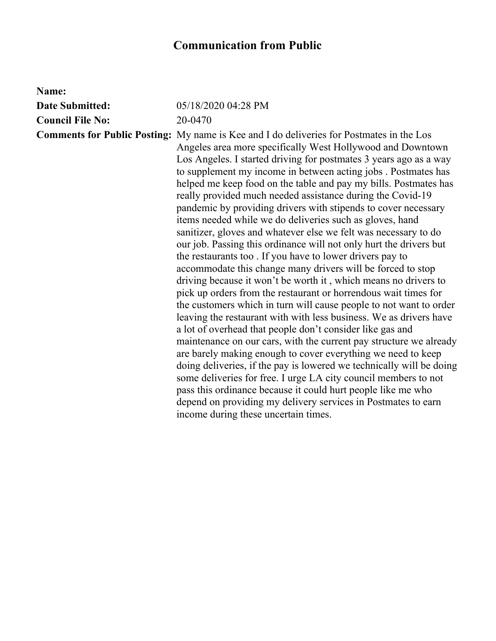## **Communication from Public**

| Name:                   |                                                                                                                                                                                                                                                                                                                                                                                                                                                                                                                                                                                                                                                                                                                                                                                                                                                                                                                                                                                                                                                                                                                                                                                                                                                                                                                                                                                                                                                                                                                                                                                                                                                  |
|-------------------------|--------------------------------------------------------------------------------------------------------------------------------------------------------------------------------------------------------------------------------------------------------------------------------------------------------------------------------------------------------------------------------------------------------------------------------------------------------------------------------------------------------------------------------------------------------------------------------------------------------------------------------------------------------------------------------------------------------------------------------------------------------------------------------------------------------------------------------------------------------------------------------------------------------------------------------------------------------------------------------------------------------------------------------------------------------------------------------------------------------------------------------------------------------------------------------------------------------------------------------------------------------------------------------------------------------------------------------------------------------------------------------------------------------------------------------------------------------------------------------------------------------------------------------------------------------------------------------------------------------------------------------------------------|
| <b>Date Submitted:</b>  | 05/18/2020 04:28 PM                                                                                                                                                                                                                                                                                                                                                                                                                                                                                                                                                                                                                                                                                                                                                                                                                                                                                                                                                                                                                                                                                                                                                                                                                                                                                                                                                                                                                                                                                                                                                                                                                              |
| <b>Council File No:</b> | 20-0470                                                                                                                                                                                                                                                                                                                                                                                                                                                                                                                                                                                                                                                                                                                                                                                                                                                                                                                                                                                                                                                                                                                                                                                                                                                                                                                                                                                                                                                                                                                                                                                                                                          |
|                         | <b>Comments for Public Posting:</b> My name is Kee and I do deliveries for Postmates in the Los<br>Angeles area more specifically West Hollywood and Downtown<br>Los Angeles. I started driving for postmates 3 years ago as a way<br>to supplement my income in between acting jobs. Postmates has<br>helped me keep food on the table and pay my bills. Postmates has<br>really provided much needed assistance during the Covid-19<br>pandemic by providing drivers with stipends to cover necessary<br>items needed while we do deliveries such as gloves, hand<br>sanitizer, gloves and whatever else we felt was necessary to do<br>our job. Passing this ordinance will not only hurt the drivers but<br>the restaurants too. If you have to lower drivers pay to<br>accommodate this change many drivers will be forced to stop<br>driving because it won't be worth it, which means no drivers to<br>pick up orders from the restaurant or horrendous wait times for<br>the customers which in turn will cause people to not want to order<br>leaving the restaurant with with less business. We as drivers have<br>a lot of overhead that people don't consider like gas and<br>maintenance on our cars, with the current pay structure we already<br>are barely making enough to cover everything we need to keep<br>doing deliveries, if the pay is lowered we technically will be doing<br>some deliveries for free. I urge LA city council members to not<br>pass this ordinance because it could hurt people like me who<br>depend on providing my delivery services in Postmates to earn<br>income during these uncertain times. |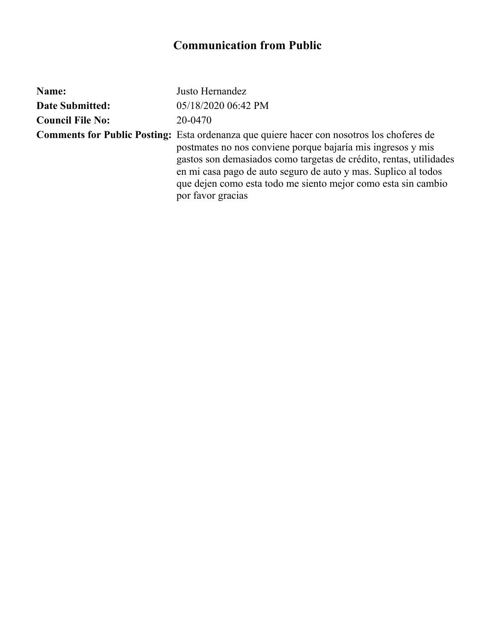## **Communication from Public**

| Name:                   | Justo Hernandez                                                                                                                                                                                                                                                                                                                                                                               |
|-------------------------|-----------------------------------------------------------------------------------------------------------------------------------------------------------------------------------------------------------------------------------------------------------------------------------------------------------------------------------------------------------------------------------------------|
| <b>Date Submitted:</b>  | 05/18/2020 06:42 PM                                                                                                                                                                                                                                                                                                                                                                           |
| <b>Council File No:</b> | 20-0470                                                                                                                                                                                                                                                                                                                                                                                       |
|                         | <b>Comments for Public Posting:</b> Esta ordenanza que quiere hacer con nosotros los choferes de<br>postmates no nos conviene porque bajaría mis ingresos y mis<br>gastos son demasiados como targetas de crédito, rentas, utilidades<br>en mi casa pago de auto seguro de auto y mas. Suplico al todos<br>que dejen como esta todo me siento mejor como esta sin cambio<br>por favor gracias |